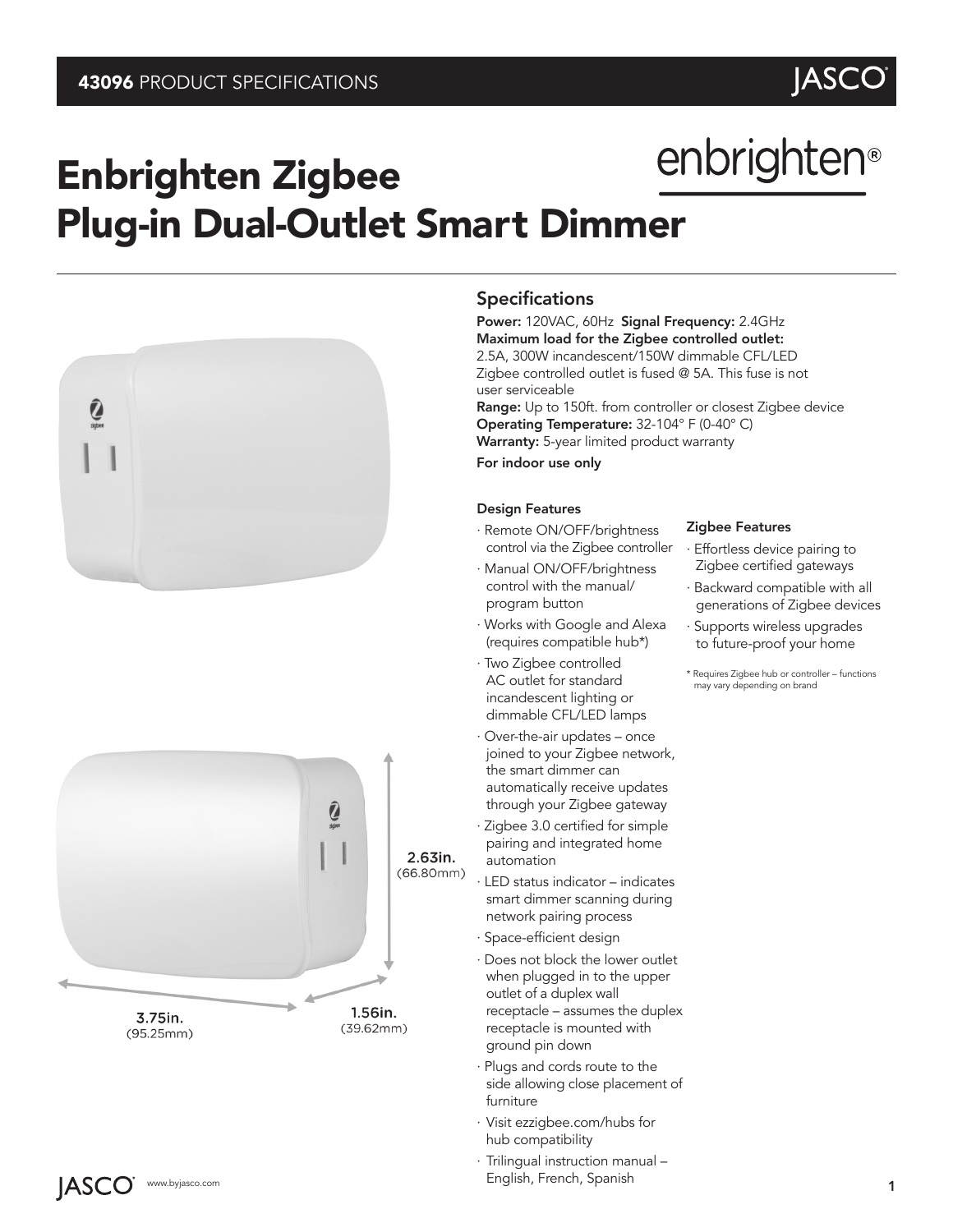# JASCO<br>
enbrighten<sup>®</sup>

# Enbrighten Zigbee Plug-in Dual-Outlet Smart Dimmer





# Specifications

Power: 120VAC, 60Hz Signal Frequency: 2.4GHz Maximum load for the Zigbee controlled outlet: 2.5A, 300W incandescent/150W dimmable CFL/LED Zigbee controlled outlet is fused @ 5A. This fuse is not user serviceable Range: Up to 150ft. from controller or closest Zigbee device Operating Temperature: 32-104° F (0-40° C) Warranty: 5-year limited product warranty For indoor use only

# Design Features

- · Remote ON/OFF/brightness control via the Zigbee controller
- · Manual ON/OFF/brightness control with the manual/ program button
- · Works with Google and Alexa (requires compatible hub\*)
- · Two Zigbee controlled AC outlet for standard incandescent lighting or dimmable CFL/LED lamps
- · Over-the-air updates once joined to your Zigbee network, the smart dimmer can automatically receive updates through your Zigbee gateway
- · Zigbee 3.0 certified for simple pairing and integrated home automation
- · LED status indicator indicates smart dimmer scanning during network pairing process
- · Space-efficient design
- · Does not block the lower outlet when plugged in to the upper outlet of a duplex wall receptacle – assumes the duplex receptacle is mounted with ground pin down
- · Plugs and cords route to the side allowing close placement of furniture
- · Visit ezzigbee.com/hubs for hub compatibility
- www.byjasco.com 1 · Trilingual instruction manual – English, French, Spanish

# Zigbee Features

- Effortless device pairing to Zigbee certified gateways
- · Backward compatible with all generations of Zigbee devices
- · Supports wireless upgrades to future-proof your home
- \* Requires Zigbee hub or controller functions may vary depending on brand